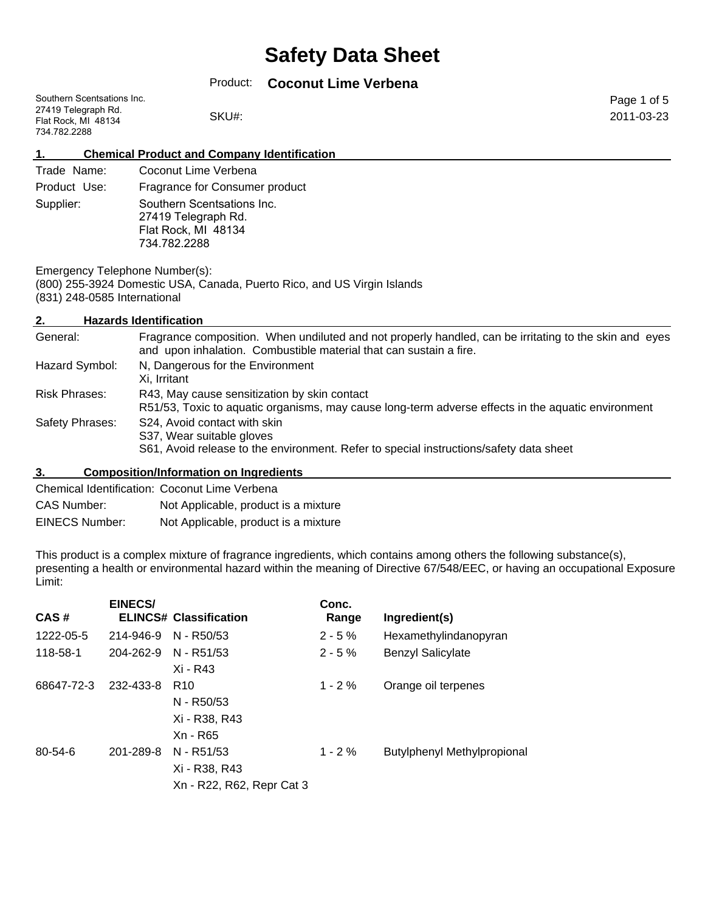## Product: **Coconut Lime Verbena**

| Southern Scentsations Inc. |       |
|----------------------------|-------|
| 27419 Telegraph Rd.        |       |
| Flat Rock, MI 48134        | SKU#: |
| 734.782.2288               |       |

Page 1 of 5 2011-03-23

#### **1. Chemical Product and Company Identification**

| Trade Name:  | Coconut Lime Verbena                                                                     |
|--------------|------------------------------------------------------------------------------------------|
| Product Use: | Fragrance for Consumer product                                                           |
| Supplier:    | Southern Scentsations Inc.<br>27419 Telegraph Rd.<br>Flat Rock, MI 48134<br>734.782.2288 |

Emergency Telephone Number(s): (800) 255-3924 Domestic USA, Canada, Puerto Rico, and US Virgin Islands (831) 248-0585 International

### **2. Hazards Identification**

| General:        | Fragrance composition. When undiluted and not properly handled, can be irritating to the skin and eyes<br>and upon inhalation. Combustible material that can sustain a fire. |
|-----------------|------------------------------------------------------------------------------------------------------------------------------------------------------------------------------|
| Hazard Symbol:  | N, Dangerous for the Environment<br>Xi. Irritant                                                                                                                             |
| Risk Phrases:   | R43, May cause sensitization by skin contact<br>R51/53, Toxic to aquatic organisms, may cause long-term adverse effects in the aquatic environment                           |
| Safety Phrases: | S24, Avoid contact with skin<br>S37, Wear suitable gloves<br>S61, Avoid release to the environment. Refer to special instructions/safety data sheet                          |

#### **3. Composition/Information on Ingredients**

|                       | Chemical Identification: Coconut Lime Verbena |
|-----------------------|-----------------------------------------------|
| CAS Number:           | Not Applicable, product is a mixture          |
| <b>EINECS Number:</b> | Not Applicable, product is a mixture          |

This product is a complex mixture of fragrance ingredients, which contains among others the following substance(s), presenting a health or environmental hazard within the meaning of Directive 67/548/EEC, or having an occupational Exposure Limit:

| <b>EINECS/</b> | Conc.<br>Range                                                                                                                                                                                  | Ingredient(s)                      |
|----------------|-------------------------------------------------------------------------------------------------------------------------------------------------------------------------------------------------|------------------------------------|
| 214-946-9      |                                                                                                                                                                                                 | Hexamethylindanopyran              |
| 204-262-9      |                                                                                                                                                                                                 | <b>Benzyl Salicylate</b>           |
|                |                                                                                                                                                                                                 |                                    |
| 232-433-8      | $1 - 2\%$                                                                                                                                                                                       | Orange oil terpenes                |
|                |                                                                                                                                                                                                 |                                    |
|                |                                                                                                                                                                                                 |                                    |
|                |                                                                                                                                                                                                 |                                    |
| 201-289-8      | $1 - 2%$                                                                                                                                                                                        | <b>Butylphenyl Methylpropional</b> |
|                |                                                                                                                                                                                                 |                                    |
|                |                                                                                                                                                                                                 |                                    |
|                | <b>ELINCS# Classification</b><br>N - R50/53<br>N - R51/53<br>Xi - R43<br>R <sub>10</sub><br>N - R50/53<br>Xi - R38, R43<br>Xn - R65<br>N - R51/53<br>Xi - R38, R43<br>Xn - R22, R62, Repr Cat 3 | $2 - 5%$<br>$2 - 5%$               |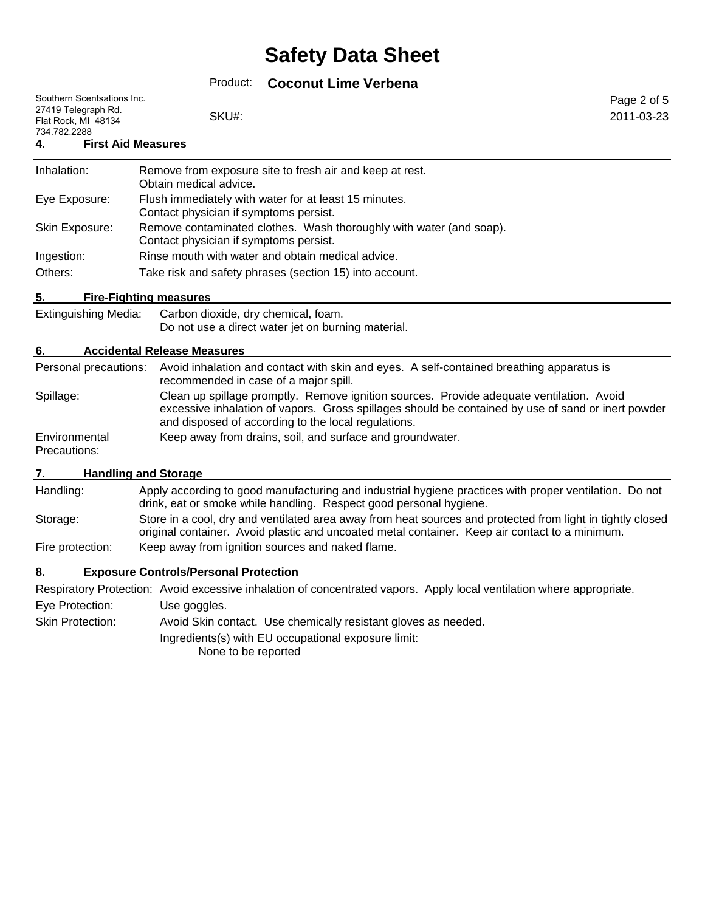# Product: **Coconut Lime Verbena**

|                                                                                          | PIOUUCL.<br>Coconut Lime verpena                                                                                                                                                                                                                      |                           |
|------------------------------------------------------------------------------------------|-------------------------------------------------------------------------------------------------------------------------------------------------------------------------------------------------------------------------------------------------------|---------------------------|
| Southern Scentsations Inc.<br>27419 Telegraph Rd.<br>Flat Rock, MI 48134<br>734.782.2288 | SKU#:                                                                                                                                                                                                                                                 | Page 2 of 5<br>2011-03-23 |
| 4.                                                                                       | <b>First Aid Measures</b>                                                                                                                                                                                                                             |                           |
| Inhalation:                                                                              | Remove from exposure site to fresh air and keep at rest.<br>Obtain medical advice.                                                                                                                                                                    |                           |
| Eye Exposure:                                                                            | Flush immediately with water for at least 15 minutes.<br>Contact physician if symptoms persist.                                                                                                                                                       |                           |
| Skin Exposure:                                                                           | Remove contaminated clothes. Wash thoroughly with water (and soap).<br>Contact physician if symptoms persist.                                                                                                                                         |                           |
| Ingestion:                                                                               | Rinse mouth with water and obtain medical advice.                                                                                                                                                                                                     |                           |
| Others:                                                                                  | Take risk and safety phrases (section 15) into account.                                                                                                                                                                                               |                           |
| 5.                                                                                       | <b>Fire-Fighting measures</b>                                                                                                                                                                                                                         |                           |
| <b>Extinguishing Media:</b>                                                              | Carbon dioxide, dry chemical, foam.<br>Do not use a direct water jet on burning material.                                                                                                                                                             |                           |
| 6.                                                                                       | <b>Accidental Release Measures</b>                                                                                                                                                                                                                    |                           |
| Personal precautions:                                                                    | Avoid inhalation and contact with skin and eyes. A self-contained breathing apparatus is<br>recommended in case of a major spill.                                                                                                                     |                           |
| Spillage:                                                                                | Clean up spillage promptly. Remove ignition sources. Provide adequate ventilation. Avoid<br>excessive inhalation of vapors. Gross spillages should be contained by use of sand or inert powder<br>and disposed of according to the local regulations. |                           |
| Environmental<br>Precautions:                                                            | Keep away from drains, soil, and surface and groundwater.                                                                                                                                                                                             |                           |
| 7.                                                                                       | <b>Handling and Storage</b>                                                                                                                                                                                                                           |                           |
| Handling:                                                                                | Apply according to good manufacturing and industrial hygiene practices with proper ventilation. Do not<br>drink, eat or smoke while handling. Respect good personal hygiene.                                                                          |                           |
| Storage:                                                                                 | Store in a cool, dry and ventilated area away from heat sources and protected from light in tightly closed<br>original container. Avoid plastic and uncoated metal container. Keep air contact to a minimum.                                          |                           |
| Fire protection:                                                                         | Keep away from ignition sources and naked flame.                                                                                                                                                                                                      |                           |
| 8.                                                                                       | <b>Exposure Controls/Personal Protection</b>                                                                                                                                                                                                          |                           |
|                                                                                          | Respiratory Protection: Avoid excessive inhalation of concentrated vapors. Apply local ventilation where appropriate.                                                                                                                                 |                           |
| Eye Protection:                                                                          | Use goggles.                                                                                                                                                                                                                                          |                           |
| <b>Skin Protection:</b>                                                                  | Avoid Skin contact. Use chemically resistant gloves as needed.                                                                                                                                                                                        |                           |
|                                                                                          | Ingredients(s) with EU occupational exposure limit:<br>None to be reported                                                                                                                                                                            |                           |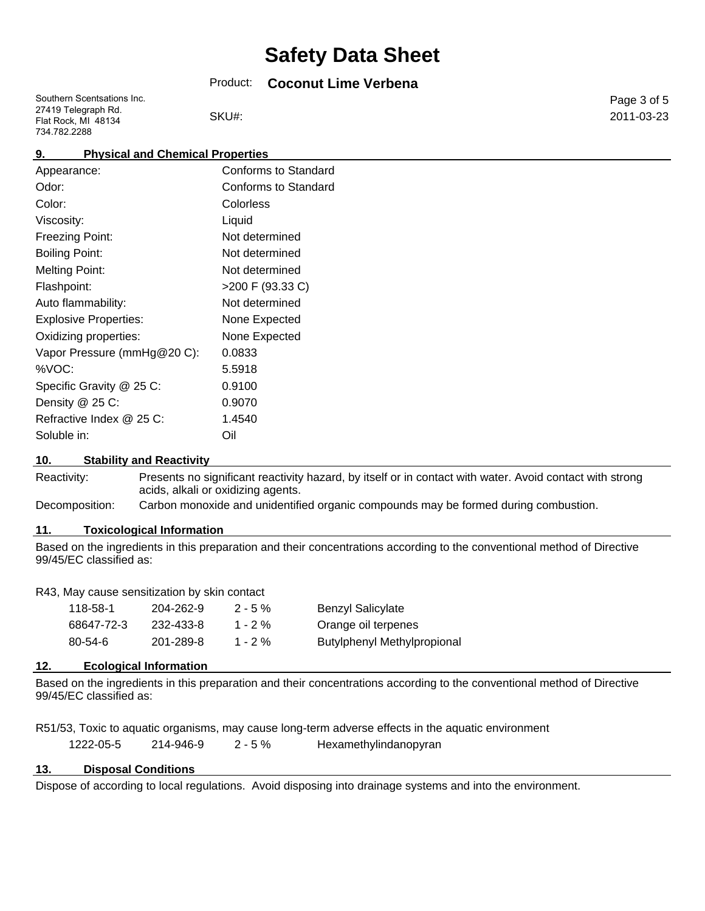### Product: **Coconut Lime Verbena**

| Southern Scentsations Inc. |
|----------------------------|
| 27419 Telegraph Rd.        |
| Flat Rock, MI 48134        |
| 734.782.2288               |

SKU#:

Page 3 of 5 2011-03-23

# **9. Physical and Chemical Properties**

| Appearance:                  | <b>Conforms to Standard</b> |
|------------------------------|-----------------------------|
| Odor:                        | Conforms to Standard        |
| Color:                       | Colorless                   |
| Viscosity:                   | Liquid                      |
| Freezing Point:              | Not determined              |
| <b>Boiling Point:</b>        | Not determined              |
| <b>Melting Point:</b>        | Not determined              |
| Flashpoint:                  | >200 F (93.33 C)            |
| Auto flammability:           | Not determined              |
| <b>Explosive Properties:</b> | None Expected               |
| Oxidizing properties:        | None Expected               |
| Vapor Pressure (mmHg@20 C):  | 0.0833                      |
| %VOC:                        | 5.5918                      |
| Specific Gravity @ 25 C:     | 0.9100                      |
| Density @ 25 C:              | 0.9070                      |
| Refractive Index @ 25 C:     | 1.4540                      |
| Soluble in:                  | Oil                         |
|                              |                             |

#### **10. Stability and Reactivity**

Reactivity: Presents no significant reactivity hazard, by itself or in contact with water. Avoid contact with strong acids, alkali or oxidizing agents.

Decomposition: Carbon monoxide and unidentified organic compounds may be formed during combustion.

#### **11. Toxicological Information**

Based on the ingredients in this preparation and their concentrations according to the conventional method of Directive 99/45/EC classified as:

#### R43, May cause sensitization by skin contact

| 118-58-1   | 204-262-9 | $2 - 5\%$  | Benzyl Salicylate                  |
|------------|-----------|------------|------------------------------------|
| 68647-72-3 | 232-433-8 | $1 - 2 \%$ | Orange oil terpenes                |
| 80-54-6    | 201-289-8 | $1 - 2 \%$ | <b>Butylphenyl Methylpropional</b> |

#### **12. Ecological Information**

Based on the ingredients in this preparation and their concentrations according to the conventional method of Directive 99/45/EC classified as:

|           |           |            | R51/53, Toxic to aquatic organisms, may cause long-term adverse effects in the aquatic environment |  |
|-----------|-----------|------------|----------------------------------------------------------------------------------------------------|--|
| 1222-05-5 | 214-946-9 | $2 - 5 \%$ | Hexamethylindanopyran                                                                              |  |

#### **13. Disposal Conditions**

Dispose of according to local regulations. Avoid disposing into drainage systems and into the environment.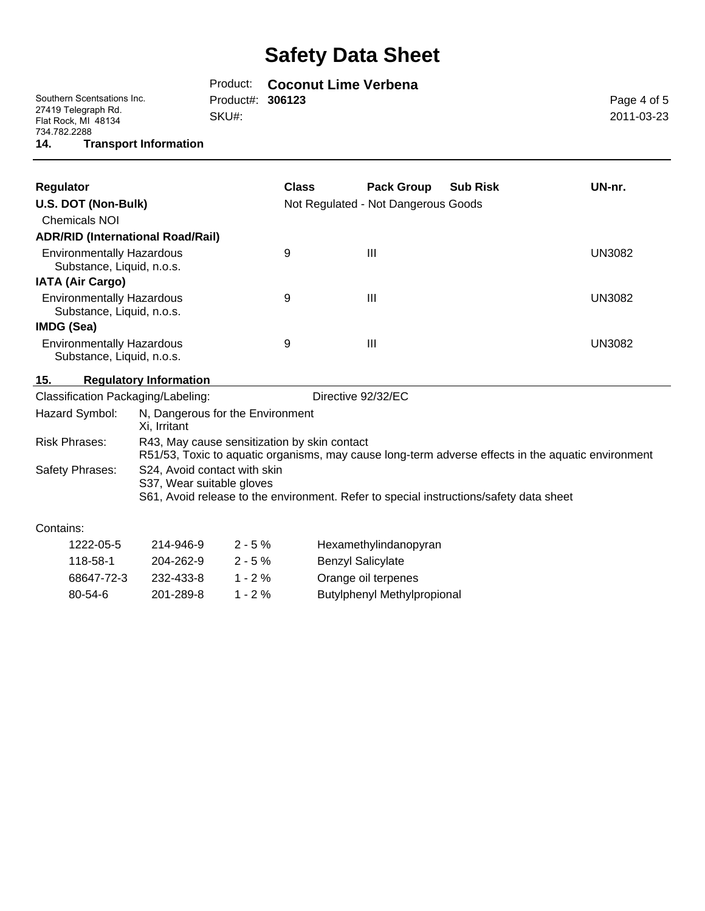|                                                            |                         | Product: Coconut Lime Verbena |             |
|------------------------------------------------------------|-------------------------|-------------------------------|-------------|
| Southern Scentsations Inc.                                 | Product#: <b>306123</b> |                               | Page 4 of 5 |
| 27419 Telegraph Rd.<br>Flat Rock, MI 48134<br>734.782.2288 | SKU#:                   |                               | 2011-03-23  |
| <b>Transport Information</b><br>14.                        |                         |                               |             |
|                                                            |                         |                               |             |

| Regulator                                                     | <b>Class</b> | <b>Pack Group</b>                   | <b>Sub Risk</b> | UN-nr. |
|---------------------------------------------------------------|--------------|-------------------------------------|-----------------|--------|
| U.S. DOT (Non-Bulk)                                           |              | Not Regulated - Not Dangerous Goods |                 |        |
| <b>Chemicals NOI</b>                                          |              |                                     |                 |        |
| <b>ADR/RID (International Road/Rail)</b>                      |              |                                     |                 |        |
| <b>Environmentally Hazardous</b><br>Substance, Liquid, n.o.s. | 9            | Ш                                   |                 | UN3082 |
| <b>IATA (Air Cargo)</b>                                       |              |                                     |                 |        |
| <b>Environmentally Hazardous</b><br>Substance, Liquid, n.o.s. | 9            | Ш                                   |                 | UN3082 |
| <b>IMDG (Sea)</b>                                             |              |                                     |                 |        |
| <b>Environmentally Hazardous</b><br>Substance, Liquid, n.o.s. | 9            | Ш                                   |                 | UN3082 |

### **15. Regulatory Information**

| Classification Packaging/Labeling: | Directive 92/32/EC                                                                                                                                  |
|------------------------------------|-----------------------------------------------------------------------------------------------------------------------------------------------------|
| Hazard Symbol:                     | N, Dangerous for the Environment<br>Xi. Irritant                                                                                                    |
| Risk Phrases:                      | R43, May cause sensitization by skin contact<br>R51/53, Toxic to aquatic organisms, may cause long-term adverse effects in the aquatic environment  |
| Safety Phrases:                    | S24, Avoid contact with skin<br>S37, Wear suitable gloves<br>S61, Avoid release to the environment. Refer to special instructions/safety data sheet |

## Contains:

| 1222-05-5     | 214-946-9 | $2 - 5%$   | Hexamethylindanopyran              |
|---------------|-----------|------------|------------------------------------|
| 118-58-1      | 204-262-9 | $2 - 5%$   | <b>Benzyl Salicylate</b>           |
| 68647-72-3    | 232-433-8 | $1 - 2\%$  | Orange oil terpenes                |
| $80 - 54 - 6$ | 201-289-8 | 1 - 2 $\%$ | <b>Butylphenyl Methylpropional</b> |